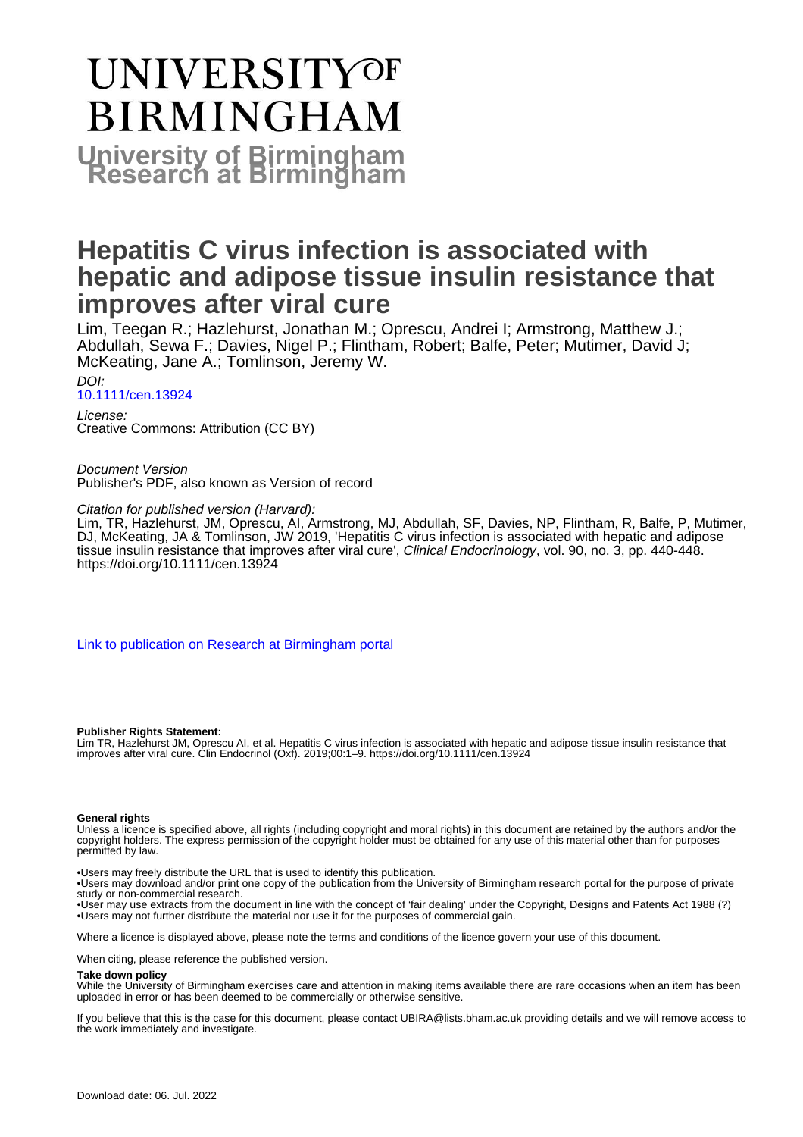# UNIVERSITYOF **BIRMINGHAM University of Birmingham**

# **Hepatitis C virus infection is associated with hepatic and adipose tissue insulin resistance that improves after viral cure**

Lim, Teegan R.; Hazlehurst, Jonathan M.; Oprescu, Andrei I; Armstrong, Matthew J.; Abdullah, Sewa F.; Davies, Nigel P.; Flintham, Robert; Balfe, Peter; Mutimer, David J; McKeating, Jane A.; Tomlinson, Jeremy W.

 $D$ [10.1111/cen.13924](https://doi.org/10.1111/cen.13924)

License: Creative Commons: Attribution (CC BY)

Document Version Publisher's PDF, also known as Version of record

Citation for published version (Harvard):

Lim, TR, Hazlehurst, JM, Oprescu, AI, Armstrong, MJ, Abdullah, SF, Davies, NP, Flintham, R, Balfe, P, Mutimer, DJ, McKeating, JA & Tomlinson, JW 2019, 'Hepatitis C virus infection is associated with hepatic and adipose tissue insulin resistance that improves after viral cure', *Clinical Endocrinology*, vol. 90, no. 3, pp. 440-448. <https://doi.org/10.1111/cen.13924>

[Link to publication on Research at Birmingham portal](https://birmingham.elsevierpure.com/en/publications/9c0c0a40-95c7-49c4-9d60-5acecb1d0c37)

#### **Publisher Rights Statement:**

Lim TR, Hazlehurst JM, Oprescu AI, et al. Hepatitis C virus infection is associated with hepatic and adipose tissue insulin resistance that improves after viral cure. Clin Endocrinol (Oxf). 2019;00:1–9. https://doi.org/10.1111/cen.13924

#### **General rights**

Unless a licence is specified above, all rights (including copyright and moral rights) in this document are retained by the authors and/or the copyright holders. The express permission of the copyright holder must be obtained for any use of this material other than for purposes permitted by law.

• Users may freely distribute the URL that is used to identify this publication.

• Users may download and/or print one copy of the publication from the University of Birmingham research portal for the purpose of private study or non-commercial research.

• User may use extracts from the document in line with the concept of 'fair dealing' under the Copyright, Designs and Patents Act 1988 (?) • Users may not further distribute the material nor use it for the purposes of commercial gain.

Where a licence is displayed above, please note the terms and conditions of the licence govern your use of this document.

When citing, please reference the published version.

#### **Take down policy**

While the University of Birmingham exercises care and attention in making items available there are rare occasions when an item has been uploaded in error or has been deemed to be commercially or otherwise sensitive.

If you believe that this is the case for this document, please contact UBIRA@lists.bham.ac.uk providing details and we will remove access to the work immediately and investigate.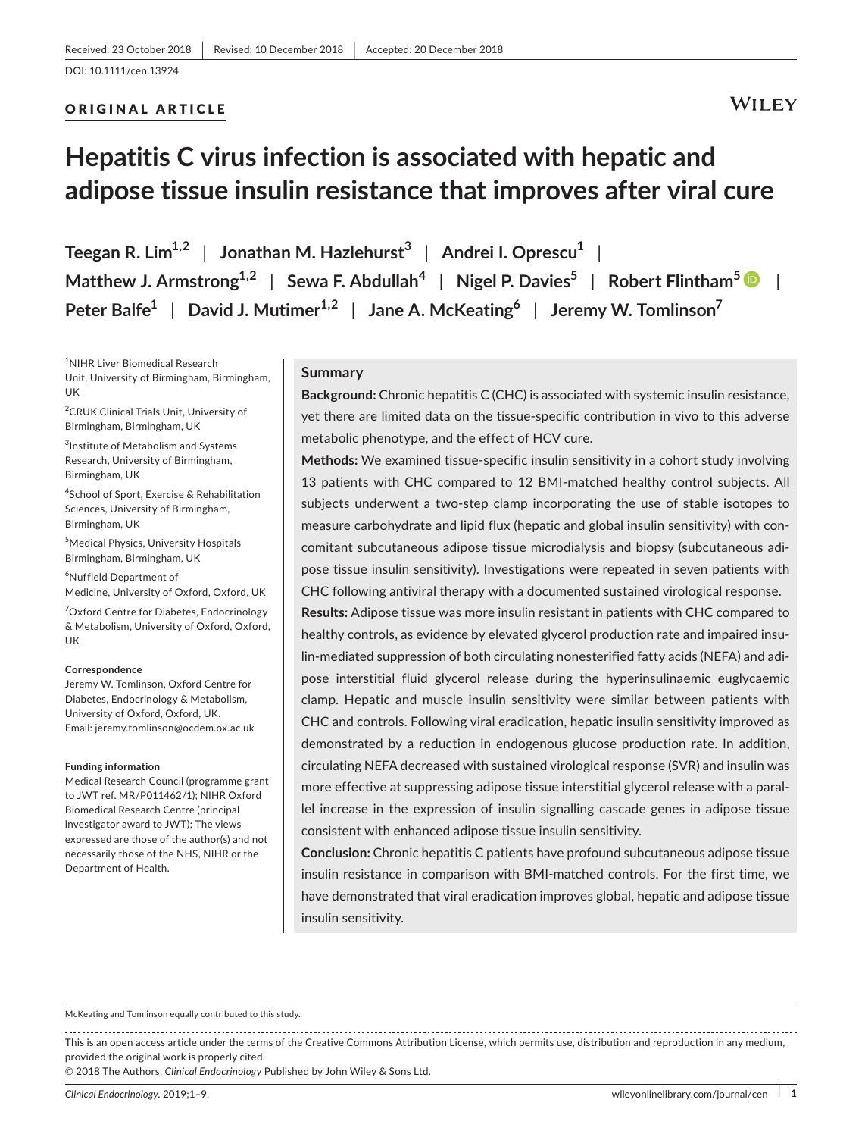#### ORIGINAL ARTICLE

### **WILEY**

# **Hepatitis C virus infection is associated with hepatic and adipose tissue insulin resistance that improves after viral cure**

**Teegan R. Lim1,2** | **Jonathan M. Hazlehurst<sup>3</sup>** | **Andrei I. Oprescu<sup>1</sup>** | **Matthew J. Armstrong1,2** | **Sewa F. Abdullah<sup>4</sup>** | **Nigel P. Davies<sup>5</sup>** | **Robert Flintham<sup>5</sup>** | **Peter Balfe<sup>1</sup>** | **David J. Mutimer1,2** | **Jane A. McKeating<sup>6</sup>** | **Jeremy W. Tomlinson<sup>7</sup>**

1 NIHR Liver Biomedical Research Unit, University of Birmingham, Birmingham, UK

2 CRUK Clinical Trials Unit, University of Birmingham, Birmingham, UK

<sup>3</sup>Institute of Metabolism and Systems Research, University of Birmingham, Birmingham, UK

4 School of Sport, Exercise & Rehabilitation Sciences, University of Birmingham, Birmingham, UK

5 Medical Physics, University Hospitals Birmingham, Birmingham, UK

6 Nuffield Department of Medicine, University of Oxford, Oxford, UK

<sup>7</sup>Oxford Centre for Diabetes, Endocrinology & Metabolism, University of Oxford, Oxford, UK

#### **Correspondence**

Jeremy W. Tomlinson, Oxford Centre for Diabetes, Endocrinology & Metabolism, University of Oxford, Oxford, UK. Email: [jeremy.tomlinson@ocdem.ox.ac.uk](mailto:jeremy.tomlinson@ocdem.ox.ac.uk)

#### **Funding information**

Medical Research Council (programme grant to JWT ref. MR/P011462/1); NIHR Oxford Biomedical Research Centre (principal investigator award to JWT); The views expressed are those of the author(s) and not necessarily those of the NHS, NIHR or the Department of Health.

#### **Summary**

**Background:** Chronic hepatitis C (CHC) is associated with systemic insulin resistance, yet there are limited data on the tissue‐specific contribution in vivo to this adverse metabolic phenotype, and the effect of HCV cure.

**Methods:** We examined tissue‐specific insulin sensitivity in a cohort study involving 13 patients with CHC compared to 12 BMI‐matched healthy control subjects. All subjects underwent a two-step clamp incorporating the use of stable isotopes to measure carbohydrate and lipid flux (hepatic and global insulin sensitivity) with con‐ comitant subcutaneous adipose tissue microdialysis and biopsy (subcutaneous adi‐ pose tissue insulin sensitivity). Investigations were repeated in seven patients with CHC following antiviral therapy with a documented sustained virological response.

**Results:** Adipose tissue was more insulin resistant in patients with CHC compared to healthy controls, as evidence by elevated glycerol production rate and impaired insu‐ lin‐mediated suppression of both circulating nonesterified fatty acids (NEFA) and adi‐ pose interstitial fluid glycerol release during the hyperinsulinaemic euglycaemic clamp. Hepatic and muscle insulin sensitivity were similar between patients with CHC and controls. Following viral eradication, hepatic insulin sensitivity improved as demonstrated by a reduction in endogenous glucose production rate. In addition, circulating NEFA decreased with sustained virological response (SVR) and insulin was more effective at suppressing adipose tissue interstitial glycerol release with a paral‐ lel increase in the expression of insulin signalling cascade genes in adipose tissue consistent with enhanced adipose tissue insulin sensitivity.

**Conclusion:** Chronic hepatitis C patients have profound subcutaneous adipose tissue insulin resistance in comparison with BMI‐matched controls. For the first time, we have demonstrated that viral eradication improves global, hepatic and adipose tissue insulin sensitivity.

McKeating and Tomlinson equally contributed to this study.

This is an open access article under the terms of the Creative Commons [Attribution](http://creativecommons.org/licenses/by/4.0/) License, which permits use, distribution and reproduction in any medium, provided the original work is properly cited.

© 2018 The Authors. *Clinical Endocrinology* Published by John Wiley & Sons Ltd.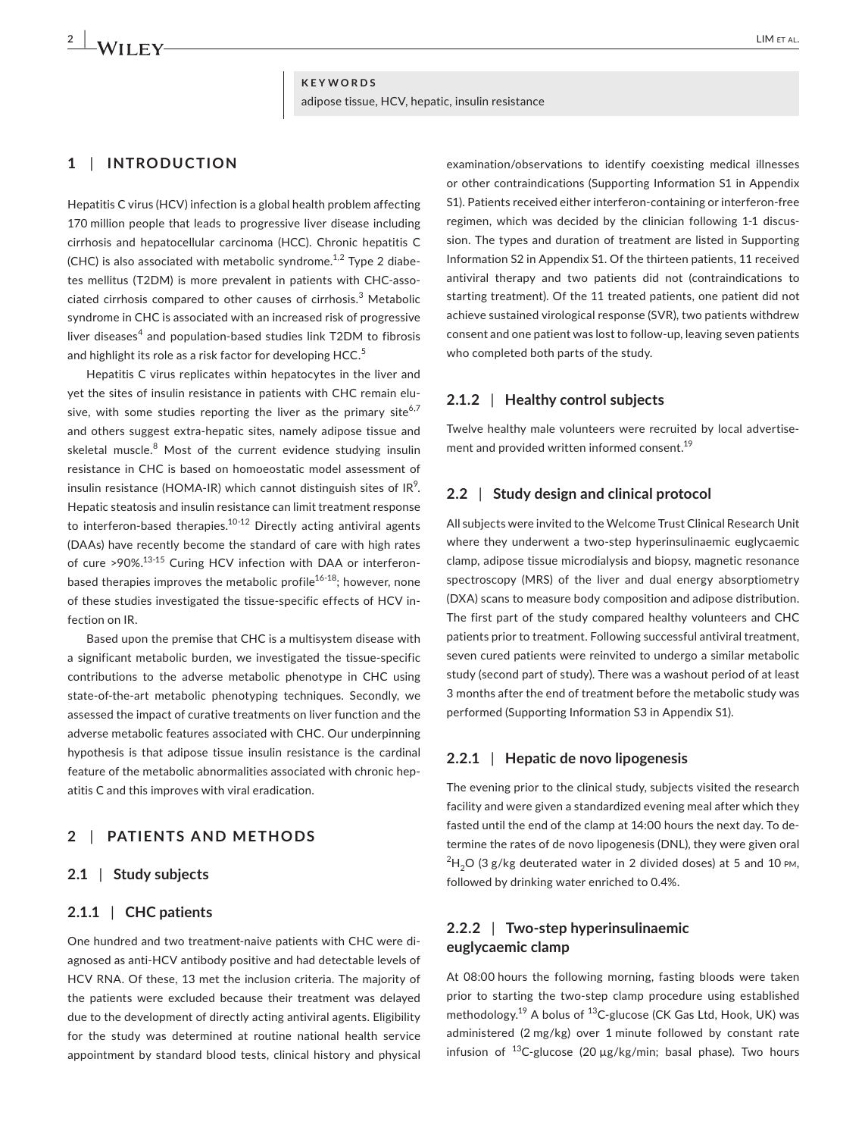**KEYWORDS** adipose tissue, HCV, hepatic, insulin resistance

#### **1** | **INTRODUCTION**

Hepatitis C virus (HCV) infection is a global health problem affecting 170 million people that leads to progressive liver disease including cirrhosis and hepatocellular carcinoma (HCC). Chronic hepatitis C (CHC) is also associated with metabolic syndrome.<sup>1,2</sup> Type 2 diabetes mellitus (T2DM) is more prevalent in patients with CHC‐asso‐ ciated cirrhosis compared to other causes of cirrhosis. $^3$  Metabolic syndrome in CHC is associated with an increased risk of progressive liver diseases<sup>4</sup> and population-based studies link T2DM to fibrosis and highlight its role as a risk factor for developing  $HCC<sup>5</sup>$ 

Hepatitis C virus replicates within hepatocytes in the liver and yet the sites of insulin resistance in patients with CHC remain elusive, with some studies reporting the liver as the primary site<sup>6,7</sup> and others suggest extra‐hepatic sites, namely adipose tissue and skeletal muscle. $8\,$  Most of the current evidence studying insulin resistance in CHC is based on homoeostatic model assessment of insulin resistance (HOMA-IR) which cannot distinguish sites of IR $^{\circ}$ . Hepatic steatosis and insulin resistance can limit treatment response to interferon-based therapies. $10^{-12}$  Directly acting antiviral agents (DAAs) have recently become the standard of care with high rates of cure >90%.<sup>13-15</sup> Curing HCV infection with DAA or interferonbased therapies improves the metabolic profile<sup>16-18</sup>; however, none of these studies investigated the tissue‐specific effects of HCV in‐ fection on IR.

Based upon the premise that CHC is a multisystem disease with a significant metabolic burden, we investigated the tissue‐specific contributions to the adverse metabolic phenotype in CHC using state-of-the-art metabolic phenotyping techniques. Secondly, we assessed the impact of curative treatments on liver function and the adverse metabolic features associated with CHC. Our underpinning hypothesis is that adipose tissue insulin resistance is the cardinal feature of the metabolic abnormalities associated with chronic hep‐ atitis C and this improves with viral eradication.

#### **2** | **PATIENTS AND METHODS**

#### **2.1** | **Study subjects**

#### **2.1.1** | **CHC patients**

One hundred and two treatment‐naive patients with CHC were di‐ agnosed as anti‐HCV antibody positive and had detectable levels of HCV RNA. Of these, 13 met the inclusion criteria. The majority of the patients were excluded because their treatment was delayed due to the development of directly acting antiviral agents. Eligibility for the study was determined at routine national health service appointment by standard blood tests, clinical history and physical

examination/observations to identify coexisting medical illnesses or other contraindications (Supporting Information S1 in Appendix S1). Patients received either interferon-containing or interferon-free regimen, which was decided by the clinician following 1‐1 discus‐ sion. The types and duration of treatment are listed in Supporting Information S2 in Appendix S1. Of the thirteen patients, 11 received antiviral therapy and two patients did not (contraindications to starting treatment). Of the 11 treated patients, one patient did not achieve sustained virological response (SVR), two patients withdrew consent and one patient was lost to follow‐up, leaving seven patients who completed both parts of the study.

#### **2.1.2** | **Healthy control subjects**

Twelve healthy male volunteers were recruited by local advertise‐ ment and provided written informed consent.<sup>19</sup>

#### **2.2** | **Study design and clinical protocol**

All subjects were invited to the Welcome Trust Clinical Research Unit where they underwent a two-step hyperinsulinaemic euglycaemic clamp, adipose tissue microdialysis and biopsy, magnetic resonance spectroscopy (MRS) of the liver and dual energy absorptiometry (DXA) scans to measure body composition and adipose distribution. The first part of the study compared healthy volunteers and CHC patients prior to treatment. Following successful antiviral treatment, seven cured patients were reinvited to undergo a similar metabolic study (second part of study). There was a washout period of at least 3 months after the end of treatment before the metabolic study was performed (Supporting Information S3 in Appendix S1).

#### **2.2.1** | **Hepatic de novo lipogenesis**

The evening prior to the clinical study, subjects visited the research facility and were given a standardized evening meal after which they fasted until the end of the clamp at 14:00 hours the next day. To de‐ termine the rates of de novo lipogenesis (DNL), they were given oral  $^{2}$ H<sub>2</sub>O (3 g/kg deuterated water in 2 divided doses) at 5 and 10 <sub>PM</sub>, followed by drinking water enriched to 0.4%.

#### **2.2.2** | **Two‐step hyperinsulinaemic euglycaemic clamp**

At 08:00 hours the following morning, fasting bloods were taken prior to starting the two‐step clamp procedure using established methodology.<sup>19</sup> A bolus of <sup>13</sup>C-glucose (CK Gas Ltd, Hook, UK) was administered (2 mg/kg) over 1 minute followed by constant rate infusion of  $^{13}$ C-glucose (20 µg/kg/min; basal phase). Two hours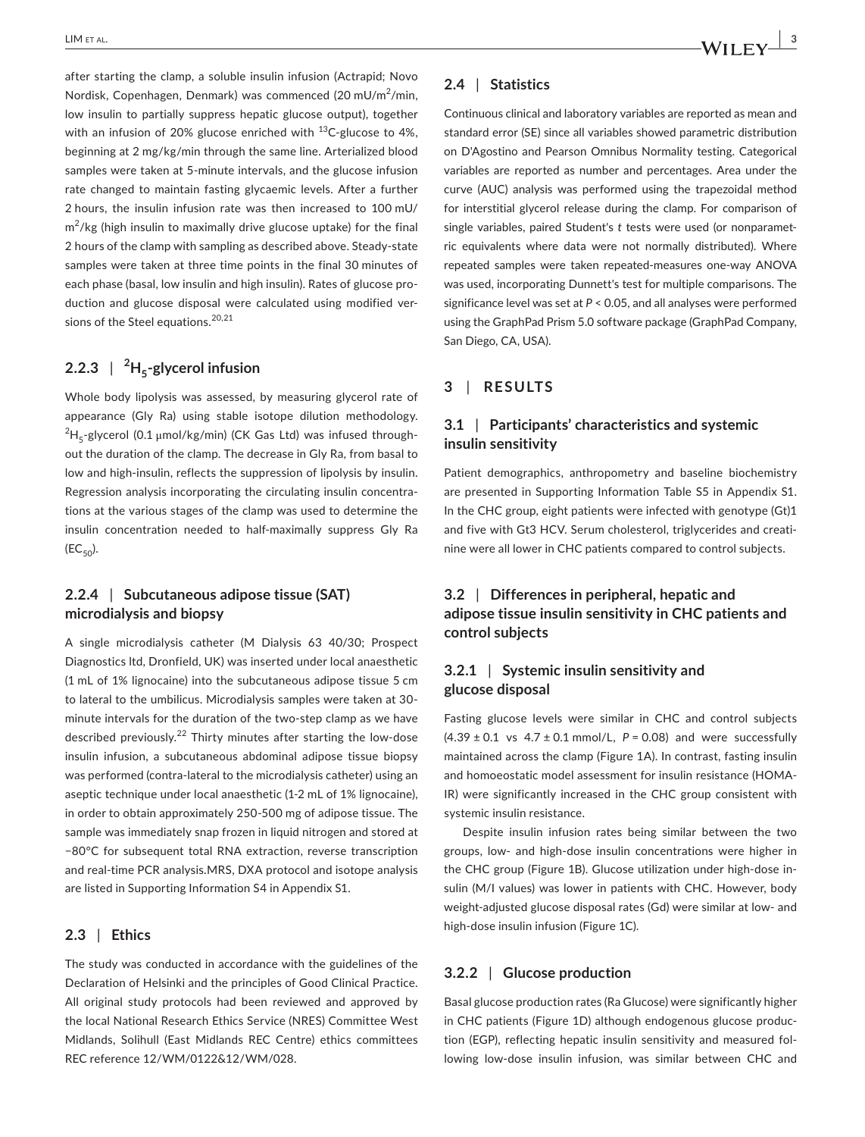after starting the clamp, a soluble insulin infusion (Actrapid; Novo Nordisk, Copenhagen, Denmark) was commenced (20 mU/m<sup>2</sup>/min, low insulin to partially suppress hepatic glucose output), together with an infusion of 20% glucose enriched with  $^{13}$ C-glucose to 4%, beginning at 2 mg/kg/min through the same line. Arterialized blood samples were taken at 5-minute intervals, and the glucose infusion rate changed to maintain fasting glycaemic levels. After a further 2 hours, the insulin infusion rate was then increased to 100 mU/  $\textsf{m}^2/\textsf{k}\textsf{g}$  (high insulin to maximally drive glucose uptake) for the final 2 hours of the clamp with sampling as described above. Steady-state samples were taken at three time points in the final 30 minutes of each phase (basal, low insulin and high insulin). Rates of glucose pro‐ duction and glucose disposal were calculated using modified ver‐ sions of the Steel equations.<sup>20,21</sup>

### **2.2.3** | **<sup>2</sup> H5‐glycerol infusion**

Whole body lipolysis was assessed, by measuring glycerol rate of appearance (Gly Ra) using stable isotope dilution methodology.  $^{2}$ H<sub>5</sub>-glycerol (0.1  $\mu$ mol/kg/min) (CK Gas Ltd) was infused throughout the duration of the clamp. The decrease in Gly Ra, from basal to low and high-insulin, reflects the suppression of lipolysis by insulin. Regression analysis incorporating the circulating insulin concentra‐ tions at the various stages of the clamp was used to determine the insulin concentration needed to half‐maximally suppress Gly Ra  $(EC_{50})$ .

#### **2.2.4** | **Subcutaneous adipose tissue (SAT) microdialysis and biopsy**

A single microdialysis catheter (M Dialysis 63 40/30; Prospect Diagnostics ltd, Dronfield, UK) was inserted under local anaesthetic (1 mL of 1% lignocaine) into the subcutaneous adipose tissue 5 cm to lateral to the umbilicus. Microdialysis samples were taken at 30‐ minute intervals for the duration of the two‐step clamp as we have described previously.<sup>22</sup> Thirty minutes after starting the low-dose insulin infusion, a subcutaneous abdominal adipose tissue biopsy was performed (contra-lateral to the microdialysis catheter) using an aseptic technique under local anaesthetic (1‐2 mL of 1% lignocaine), in order to obtain approximately 250‐500 mg of adipose tissue. The sample was immediately snap frozen in liquid nitrogen and stored at −80°C for subsequent total RNA extraction, reverse transcription and real-time PCR analysis.MRS, DXA protocol and isotope analysis are listed in Supporting Information S4 in Appendix S1.

#### **2.3** | **Ethics**

The study was conducted in accordance with the guidelines of the Declaration of Helsinki and the principles of Good Clinical Practice. All original study protocols had been reviewed and approved by the local National Research Ethics Service (NRES) Committee West Midlands, Solihull (East Midlands REC Centre) ethics committees REC reference 12/WM/0122&12/WM/028.

#### **2.4** | **Statistics**

Continuous clinical and laboratory variables are reported as mean and standard error (SE) since all variables showed parametric distribution on D'Agostino and Pearson Omnibus Normality testing. Categorical variables are reported as number and percentages. Area under the curve (AUC) analysis was performed using the trapezoidal method for interstitial glycerol release during the clamp. For comparison of single variables, paired Student's *t* tests were used (or nonparametric equivalents where data were not normally distributed). Where repeated samples were taken repeated‐measures one‐way ANOVA was used, incorporating Dunnett's test for multiple comparisons. The significance level was set at *P* < 0.05, and all analyses were performed using the GraphPad Prism 5.0 software package (GraphPad Company, San Diego, CA, USA).

#### **3** | **RESULTS**

#### **3.1** | **Participants' characteristics and systemic insulin sensitivity**

Patient demographics, anthropometry and baseline biochemistry are presented in Supporting Information Table S5 in Appendix S1. In the CHC group, eight patients were infected with genotype (Gt)1 and five with Gt3 HCV. Serum cholesterol, triglycerides and creatinine were all lower in CHC patients compared to control subjects.

#### **3.2** | **Differences in peripheral, hepatic and adipose tissue insulin sensitivity in CHC patients and control subjects**

#### **3.2.1** | **Systemic insulin sensitivity and glucose disposal**

Fasting glucose levels were similar in CHC and control subjects  $(4.39 \pm 0.1 \text{ vs } 4.7 \pm 0.1 \text{ mmol/L}, P = 0.08)$  and were successfully maintained across the clamp (Figure 1A). In contrast, fasting insulin and homoeostatic model assessment for insulin resistance (HOMA‐ IR) were significantly increased in the CHC group consistent with systemic insulin resistance.

Despite insulin infusion rates being similar between the two groups, low‐ and high‐dose insulin concentrations were higher in the CHC group (Figure 1B). Glucose utilization under high‐dose in‐ sulin (M/I values) was lower in patients with CHC. However, body weight-adjusted glucose disposal rates (Gd) were similar at low- and high-dose insulin infusion (Figure 1C).

#### **3.2.2** | **Glucose production**

Basal glucose production rates (Ra Glucose) were significantly higher in CHC patients (Figure 1D) although endogenous glucose produc‐ tion (EGP), reflecting hepatic insulin sensitivity and measured fol‐ lowing low‐dose insulin infusion, was similar between CHC and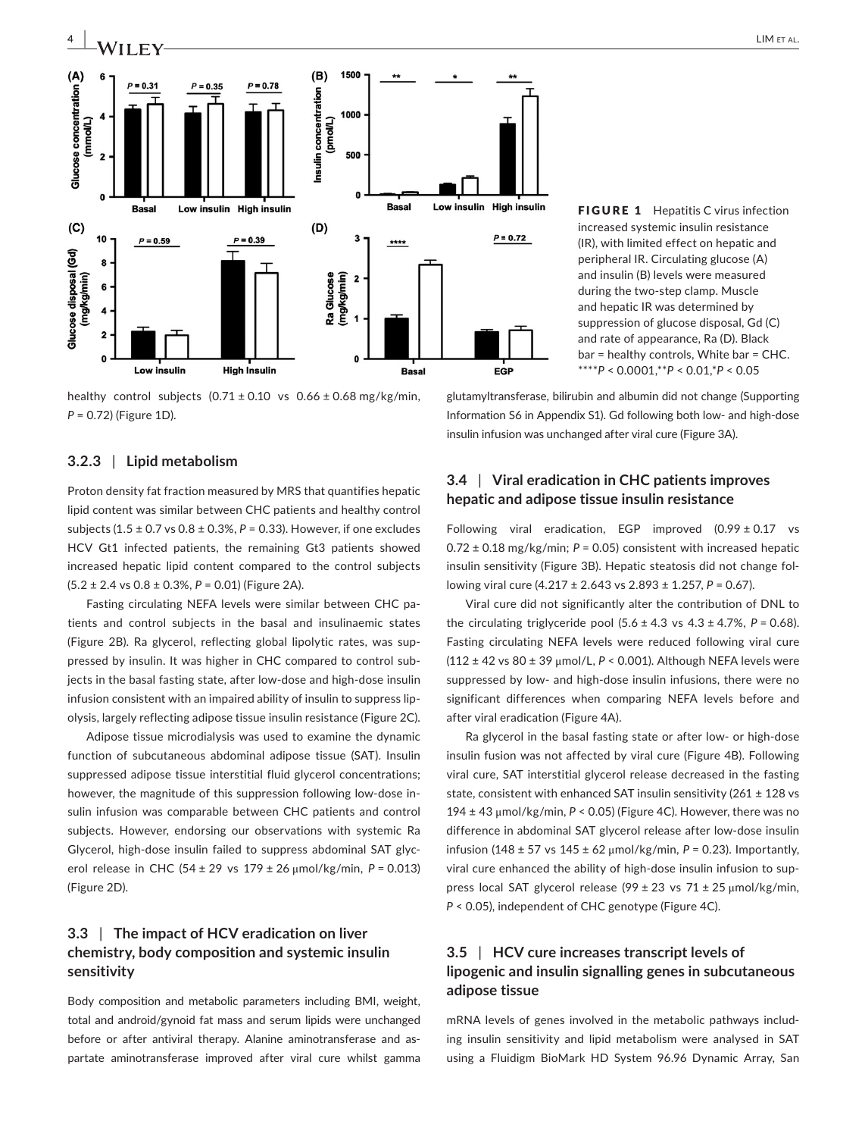

healthy control subjects  $(0.71 \pm 0.10 \text{ vs } 0.66 \pm 0.68 \text{ mg/kg/min})$ , *P* = 0.72) (Figure 1D).

#### **3.2.3** | **Lipid metabolism**

Proton density fat fraction measured by MRS that quantifies hepatic lipid content was similar between CHC patients and healthy control subjects (1.5 ± 0.7 vs 0.8 ± 0.3%, *P* = 0.33). However, if one excludes HCV Gt1 infected patients, the remaining Gt3 patients showed increased hepatic lipid content compared to the control subjects (5.2 ± 2.4 vs 0.8 ± 0.3%, *P* = 0.01) (Figure 2A).

Fasting circulating NEFA levels were similar between CHC pa‐ tients and control subjects in the basal and insulinaemic states (Figure 2B). Ra glycerol, reflecting global lipolytic rates, was sup‐ pressed by insulin. It was higher in CHC compared to control sub‐ jects in the basal fasting state, after low-dose and high-dose insulin infusion consistent with an impaired ability of insulin to suppress lipolysis, largely reflecting adipose tissue insulin resistance (Figure 2C).

Adipose tissue microdialysis was used to examine the dynamic function of subcutaneous abdominal adipose tissue (SAT). Insulin suppressed adipose tissue interstitial fluid glycerol concentrations; however, the magnitude of this suppression following low-dose insulin infusion was comparable between CHC patients and control subjects. However, endorsing our observations with systemic Ra Glycerol, high-dose insulin failed to suppress abdominal SAT glycerol release in CHC (54 ± 29 vs 179 ± 26 μmol/kg/min, *P* = 0.013) (Figure 2D).

#### **3.3** | **The impact of HCV eradication on liver chemistry, body composition and systemic insulin sensitivity**

Body composition and metabolic parameters including BMI, weight, total and android/gynoid fat mass and serum lipids were unchanged before or after antiviral therapy. Alanine aminotransferase and aspartate aminotransferase improved after viral cure whilst gamma

FIGURE 1 Hepatitis C virus infection increased systemic insulin resistance (IR), with limited effect on hepatic and peripheral IR. Circulating glucose (A) and insulin (B) levels were measured during the two‐step clamp. Muscle and hepatic IR was determined by suppression of glucose disposal, Gd (C) and rate of appearance, Ra (D). Black bar = healthy controls, White bar = CHC. \*\*\*\**P* < 0.0001,\*\**P* < 0.01,\**P* < 0.05

glutamyltransferase, bilirubin and albumin did not change (Supporting Information S6 in Appendix S1). Gd following both low‐ and high‐dose insulin infusion was unchanged after viral cure (Figure 3A).

#### **3.4** | **Viral eradication in CHC patients improves hepatic and adipose tissue insulin resistance**

Following viral eradication, EGP improved  $(0.99 \pm 0.17$  vs  $0.72 \pm 0.18$  mg/kg/min;  $P = 0.05$ ) consistent with increased hepatic insulin sensitivity (Figure 3B). Hepatic steatosis did not change fol‐ lowing viral cure (4.217 ± 2.643 vs 2.893 ± 1.257, *P* = 0.67).

Viral cure did not significantly alter the contribution of DNL to the circulating triglyceride pool  $(5.6 \pm 4.3 \text{ vs } 4.3 \pm 4.7\% , P = 0.68)$ . Fasting circulating NEFA levels were reduced following viral cure (112 ± 42 vs 80 ± 39 μmol/L, *P* < 0.001). Although NEFA levels were suppressed by low- and high-dose insulin infusions, there were no significant differences when comparing NEFA levels before and after viral eradication (Figure 4A).

Ra glycerol in the basal fasting state or after low‐ or high‐dose insulin fusion was not affected by viral cure (Figure 4B). Following viral cure, SAT interstitial glycerol release decreased in the fasting state, consistent with enhanced SAT insulin sensitivity (261 ± 128 vs  $194 \pm 43$  µmol/kg/min,  $P < 0.05$ ) (Figure 4C). However, there was no difference in abdominal SAT glycerol release after low-dose insulin infusion (148 ± 57 vs 145 ± 62 μmol/kg/min, *P* = 0.23). Importantly, viral cure enhanced the ability of high‐dose insulin infusion to sup‐ press local SAT glycerol release (99 ± 23 vs 71 ± 25 μmol/kg/min, *P* < 0.05), independent of CHC genotype (Figure 4C).

#### **3.5** | **HCV cure increases transcript levels of lipogenic and insulin signalling genes in subcutaneous adipose tissue**

mRNA levels of genes involved in the metabolic pathways includ‐ ing insulin sensitivity and lipid metabolism were analysed in SAT using a Fluidigm BioMark HD System 96.96 Dynamic Array, San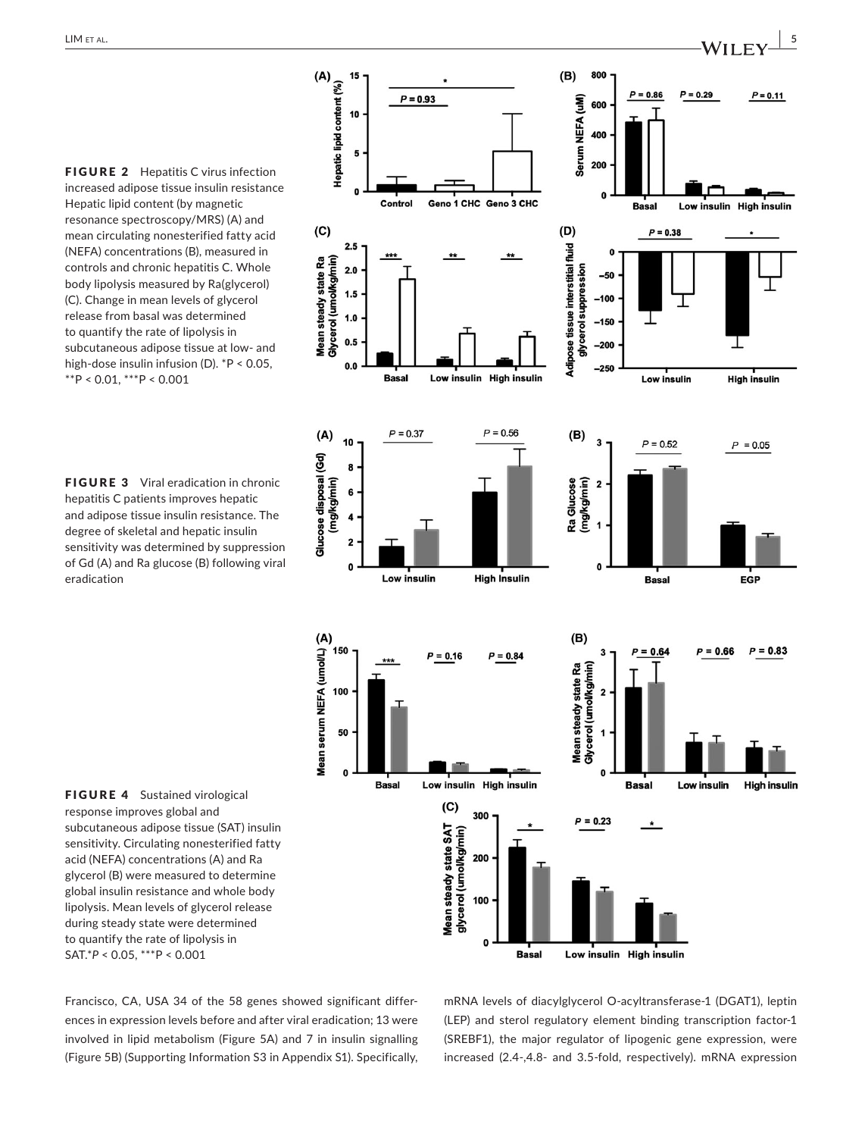FIGURE 2 Hepatitis C virus infection increased adipose tissue insulin resistance Hepatic lipid content (by magnetic resonance spectroscopy/MRS) (A) and mean circulating nonesterified fatty acid (NEFA) concentrations (B), measured in controls and chronic hepatitis C. Whole body lipolysis measured by Ra(glycerol) (C). Change in mean levels of glycerol release from basal was determined to quantify the rate of lipolysis in subcutaneous adipose tissue at low‐ and high-dose insulin infusion (D). \*P < 0.05,  $*$  $*$ P < 0.01,  $*$  $*$  $*$ P < 0.001

FIGURE 3 Viral eradication in chronic hepatitis C patients improves hepatic and adipose tissue insulin resistance. The degree of skeletal and hepatic insulin sensitivity was determined by suppression of Gd (A) and Ra glucose (B) following viral eradication



FIGURE 4 Sustained virological response improves global and subcutaneous adipose tissue (SAT) insulin sensitivity. Circulating nonesterified fatty acid (NEFA) concentrations (A) and Ra glycerol (B) were measured to determine global insulin resistance and whole body lipolysis. Mean levels of glycerol release during steady state were determined to quantify the rate of lipolysis in SAT.\**P* < 0.05, \*\*\*P < 0.001

Francisco, CA, USA 34 of the 58 genes showed significant differ‐ ences in expression levels before and after viral eradication; 13 were involved in lipid metabolism (Figure 5A) and 7 in insulin signalling (Figure 5B) (Supporting Information S3 in Appendix S1). Specifically, mRNA levels of diacylglycerol O‐acyltransferase‐1 (DGAT1), leptin (LEP) and sterol regulatory element binding transcription factor‐1 (SREBF1), the major regulator of lipogenic gene expression, were increased (2.4‐,4.8‐ and 3.5‐fold, respectively). mRNA expression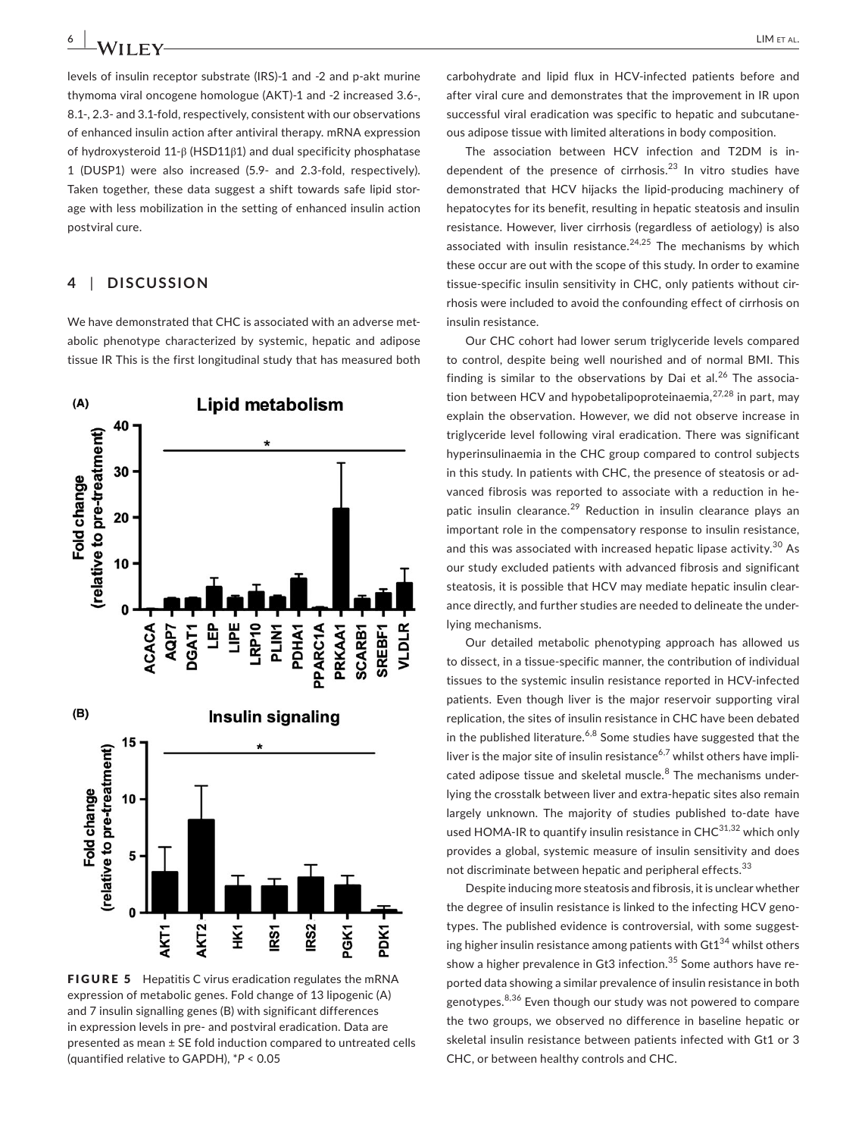levels of insulin receptor substrate (IRS)‐1 and ‐2 and p‐akt murine thymoma viral oncogene homologue (AKT)‐1 and ‐2 increased 3.6‐, 8.1‐, 2.3‐ and 3.1‐fold, respectively, consistent with our observations of enhanced insulin action after antiviral therapy. mRNA expression of hydroxysteroid 11‐β (HSD11β1) and dual specificity phosphatase 1 (DUSP1) were also increased (5.9‐ and 2.3‐fold, respectively). Taken together, these data suggest a shift towards safe lipid stor‐ age with less mobilization in the setting of enhanced insulin action postviral cure.

#### **4** | **DISCUSSION**

We have demonstrated that CHC is associated with an adverse metabolic phenotype characterized by systemic, hepatic and adipose tissue IR This is the first longitudinal study that has measured both



FIGURE 5 Hepatitis C virus eradication regulates the mRNA expression of metabolic genes. Fold change of 13 lipogenic (A) and 7 insulin signalling genes (B) with significant differences in expression levels in pre‐ and postviral eradication. Data are presented as mean ± SE fold induction compared to untreated cells (quantified relative to GAPDH), \**P* < 0.05

carbohydrate and lipid flux in HCV‐infected patients before and after viral cure and demonstrates that the improvement in IR upon successful viral eradication was specific to hepatic and subcutane‐ ous adipose tissue with limited alterations in body composition.

The association between HCV infection and T2DM is in‐ dependent of the presence of cirrhosis.<sup>23</sup> In vitro studies have demonstrated that HCV hijacks the lipid‐producing machinery of hepatocytes for its benefit, resulting in hepatic steatosis and insulin resistance. However, liver cirrhosis (regardless of aetiology) is also associated with insulin resistance.<sup>24,25</sup> The mechanisms by which these occur are out with the scope of this study. In order to examine tissue‐specific insulin sensitivity in CHC, only patients without cir‐ rhosis were included to avoid the confounding effect of cirrhosis on insulin resistance.

Our CHC cohort had lower serum triglyceride levels compared to control, despite being well nourished and of normal BMI. This finding is similar to the observations by Dai et al.<sup>26</sup> The association between HCV and hypobetalipoproteinaemia, $27,28$  in part, may explain the observation. However, we did not observe increase in triglyceride level following viral eradication. There was significant hyperinsulinaemia in the CHC group compared to control subjects in this study. In patients with CHC, the presence of steatosis or ad‐ vanced fibrosis was reported to associate with a reduction in he‐ patic insulin clearance.<sup>29</sup> Reduction in insulin clearance plays an important role in the compensatory response to insulin resistance, and this was associated with increased hepatic lipase activity.<sup>30</sup> As our study excluded patients with advanced fibrosis and significant steatosis, it is possible that HCV may mediate hepatic insulin clear‐ ance directly, and further studies are needed to delineate the under‐ lying mechanisms.

Our detailed metabolic phenotyping approach has allowed us to dissect, in a tissue‐specific manner, the contribution of individual tissues to the systemic insulin resistance reported in HCV‐infected patients. Even though liver is the major reservoir supporting viral replication, the sites of insulin resistance in CHC have been debated in the published literature.<sup>6,8</sup> Some studies have suggested that the liver is the major site of insulin resistance<sup>6,7</sup> whilst others have implicated adipose tissue and skeletal muscle.<sup>8</sup> The mechanisms underlying the crosstalk between liver and extra-hepatic sites also remain largely unknown. The majority of studies published to‐date have used HOMA-IR to quantify insulin resistance in  $CHC^{31,32}$  which only provides a global, systemic measure of insulin sensitivity and does not discriminate between hepatic and peripheral effects.<sup>33</sup>

Despite inducing more steatosis and fibrosis, it is unclear whether the degree of insulin resistance is linked to the infecting HCV genotypes. The published evidence is controversial, with some suggesting higher insulin resistance among patients with  $\text{Gt1}^{34}$  whilst others show a higher prevalence in Gt3 infection.<sup>35</sup> Some authors have reported data showing a similar prevalence of insulin resistance in both genotypes.<sup>8,36</sup> Even though our study was not powered to compare the two groups, we observed no difference in baseline hepatic or skeletal insulin resistance between patients infected with Gt1 or 3 CHC, or between healthy controls and CHC.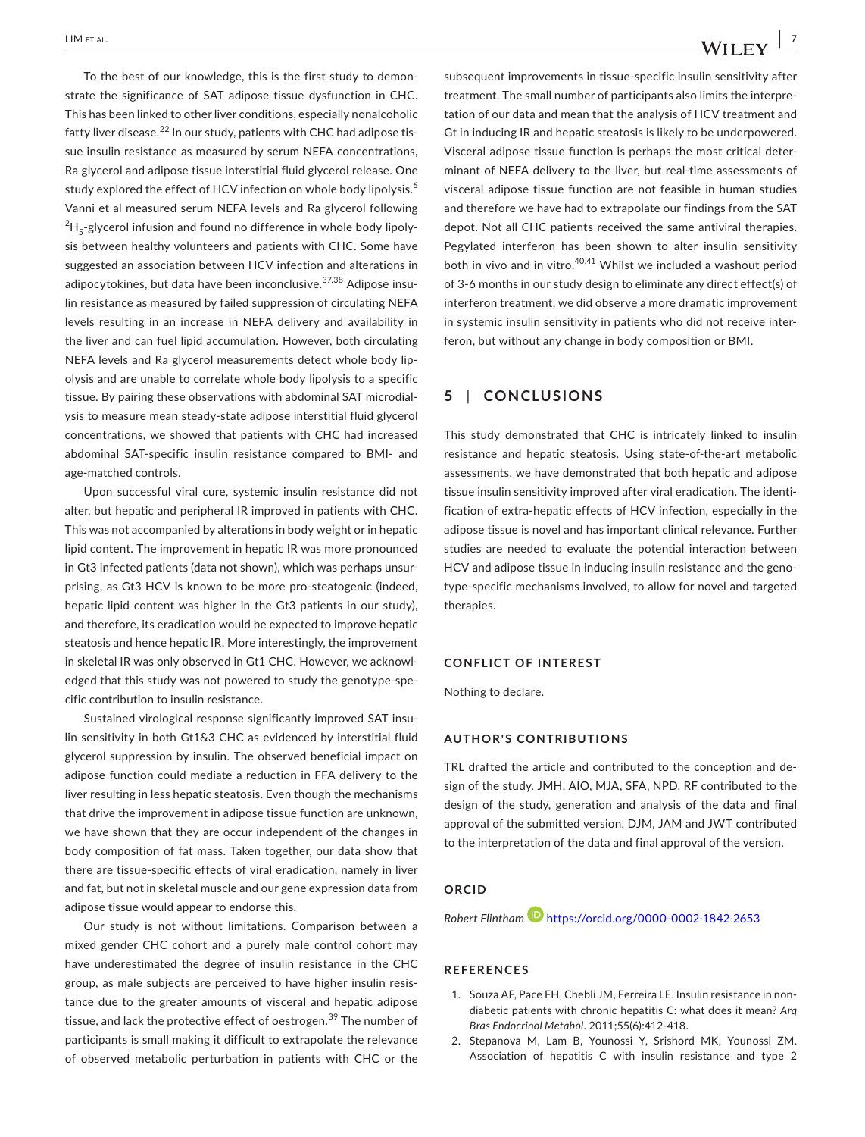To the best of our knowledge, this is the first study to demon‐ strate the significance of SAT adipose tissue dysfunction in CHC. This has been linked to other liver conditions, especially nonalcoholic fatty liver disease.<sup>22</sup> In our study, patients with CHC had adipose tissue insulin resistance as measured by serum NEFA concentrations, Ra glycerol and adipose tissue interstitial fluid glycerol release. One study explored the effect of HCV infection on whole body lipolysis.<sup>6</sup> Vanni et al measured serum NEFA levels and Ra glycerol following  $^{2}$ H<sub>5</sub>-glycerol infusion and found no difference in whole body lipolysis between healthy volunteers and patients with CHC. Some have suggested an association between HCV infection and alterations in adipocytokines, but data have been inconclusive.<sup>37,38</sup> Adipose insulin resistance as measured by failed suppression of circulating NEFA levels resulting in an increase in NEFA delivery and availability in the liver and can fuel lipid accumulation. However, both circulating NEFA levels and Ra glycerol measurements detect whole body lip‐ olysis and are unable to correlate whole body lipolysis to a specific tissue. By pairing these observations with abdominal SAT microdial‐ ysis to measure mean steady‐state adipose interstitial fluid glycerol concentrations, we showed that patients with CHC had increased abdominal SAT‐specific insulin resistance compared to BMI‐ and age‐matched controls.

Upon successful viral cure, systemic insulin resistance did not alter, but hepatic and peripheral IR improved in patients with CHC. This was not accompanied by alterations in body weight or in hepatic lipid content. The improvement in hepatic IR was more pronounced in Gt3 infected patients (data not shown), which was perhaps unsur‐ prising, as Gt3 HCV is known to be more pro-steatogenic (indeed, hepatic lipid content was higher in the Gt3 patients in our study), and therefore, its eradication would be expected to improve hepatic steatosis and hence hepatic IR. More interestingly, the improvement in skeletal IR was only observed in Gt1 CHC. However, we acknowledged that this study was not powered to study the genotype‐spe‐ cific contribution to insulin resistance.

Sustained virological response significantly improved SAT insu‐ lin sensitivity in both Gt1&3 CHC as evidenced by interstitial fluid glycerol suppression by insulin. The observed beneficial impact on adipose function could mediate a reduction in FFA delivery to the liver resulting in less hepatic steatosis. Even though the mechanisms that drive the improvement in adipose tissue function are unknown, we have shown that they are occur independent of the changes in body composition of fat mass. Taken together, our data show that there are tissue‐specific effects of viral eradication, namely in liver and fat, but not in skeletal muscle and our gene expression data from adipose tissue would appear to endorse this.

Our study is not without limitations. Comparison between a mixed gender CHC cohort and a purely male control cohort may have underestimated the degree of insulin resistance in the CHC group, as male subjects are perceived to have higher insulin resis‐ tance due to the greater amounts of visceral and hepatic adipose tissue, and lack the protective effect of oestrogen.<sup>39</sup> The number of participants is small making it difficult to extrapolate the relevance of observed metabolic perturbation in patients with CHC or the

subsequent improvements in tissue‐specific insulin sensitivity after treatment. The small number of participants also limits the interpre‐ tation of our data and mean that the analysis of HCV treatment and Gt in inducing IR and hepatic steatosis is likely to be underpowered. Visceral adipose tissue function is perhaps the most critical deter‐ minant of NEFA delivery to the liver, but real-time assessments of visceral adipose tissue function are not feasible in human studies and therefore we have had to extrapolate our findings from the SAT depot. Not all CHC patients received the same antiviral therapies. Pegylated interferon has been shown to alter insulin sensitivity both in vivo and in vitro.<sup>40,41</sup> Whilst we included a washout period of 3‐6 months in our study design to eliminate any direct effect(s) of interferon treatment, we did observe a more dramatic improvement in systemic insulin sensitivity in patients who did not receive interferon, but without any change in body composition or BMI.

#### **5** | **CONCLUSIONS**

This study demonstrated that CHC is intricately linked to insulin resistance and hepatic steatosis. Using state‐of‐the‐art metabolic assessments, we have demonstrated that both hepatic and adipose tissue insulin sensitivity improved after viral eradication. The identi‐ fication of extra‐hepatic effects of HCV infection, especially in the adipose tissue is novel and has important clinical relevance. Further studies are needed to evaluate the potential interaction between HCV and adipose tissue in inducing insulin resistance and the geno‐ type‐specific mechanisms involved, to allow for novel and targeted therapies.

#### **CONFLICT OF INTEREST**

Nothing to declare.

#### **AUTHOR'S CONTRIBUTIONS**

TRL drafted the article and contributed to the conception and de‐ sign of the study. JMH, AIO, MJA, SFA, NPD, RF contributed to the design of the study, generation and analysis of the data and final approval of the submitted version. DJM, JAM and JWT contributed to the interpretation of the data and final approval of the version.

#### **ORCID**

*Robert Flintha[m](https://orcid.org/0000-0002-1842-2653)* <https://orcid.org/0000-0002-1842-2653>

#### **REFERENCES**

- 1. Souza AF, Pace FH, Chebli JM, Ferreira LE. Insulin resistance in nondiabetic patients with chronic hepatitis C: what does it mean? *Arq Bras Endocrinol Metabol*. 2011;55(6):412‐418.
- 2. Stepanova M, Lam B, Younossi Y, Srishord MK, Younossi ZM. Association of hepatitis C with insulin resistance and type 2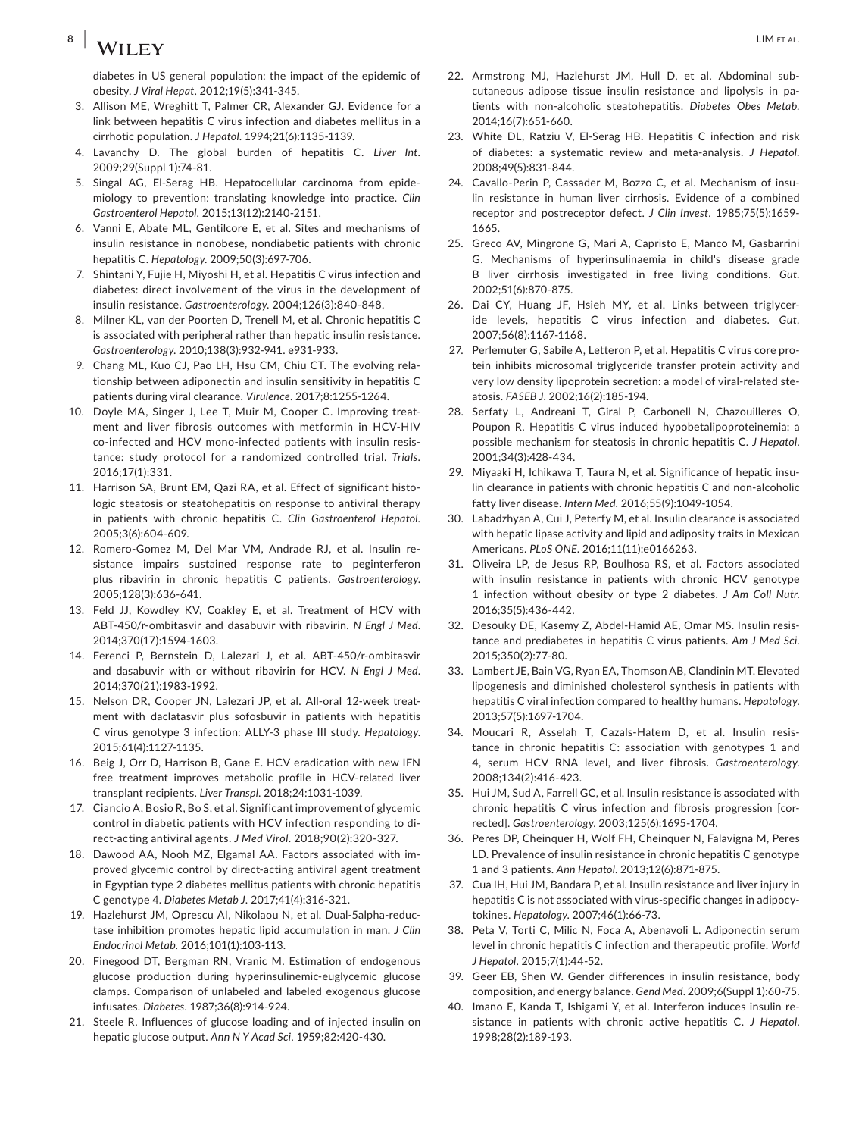## **8 |**  $\mathbf{M}$   $\mathbf{L}$  **LIM** ETAL.

diabetes in US general population: the impact of the epidemic of obesity. *J Viral Hepat*. 2012;19(5):341‐345.

- 3. Allison ME, Wreghitt T, Palmer CR, Alexander GJ, Evidence for a link between hepatitis C virus infection and diabetes mellitus in a cirrhotic population. *J Hepatol*. 1994;21(6):1135‐1139.
- 4. Lavanchy D. The global burden of hepatitis C. *Liver Int*. 2009;29(Suppl 1):74‐81.
- 5. Singal AG, El-Serag HB. Hepatocellular carcinoma from epidemiology to prevention: translating knowledge into practice. *Clin Gastroenterol Hepatol*. 2015;13(12):2140‐2151.
- 6. Vanni E, Abate ML, Gentilcore E, et al. Sites and mechanisms of insulin resistance in nonobese, nondiabetic patients with chronic hepatitis C. *Hepatology*. 2009;50(3):697‐706.
- 7. Shintani Y, Fujie H, Miyoshi H, et al. Hepatitis C virus infection and diabetes: direct involvement of the virus in the development of insulin resistance. *Gastroenterology*. 2004;126(3):840‐848.
- 8. Milner KL, van der Poorten D, Trenell M, et al. Chronic hepatitis C is associated with peripheral rather than hepatic insulin resistance. *Gastroenterology*. 2010;138(3):932‐941. e931‐933.
- 9. Chang ML, Kuo CJ, Pao LH, Hsu CM, Chiu CT. The evolving relationship between adiponectin and insulin sensitivity in hepatitis C patients during viral clearance. *Virulence*. 2017;8:1255‐1264.
- 10. Doyle MA, Singer J, Lee T, Muir M, Cooper C. Improving treatment and liver fibrosis outcomes with metformin in HCV‐HIV co-infected and HCV mono-infected patients with insulin resistance: study protocol for a randomized controlled trial. *Trials*. 2016;17(1):331.
- 11. Harrison SA, Brunt EM, Qazi RA, et al. Effect of significant histologic steatosis or steatohepatitis on response to antiviral therapy in patients with chronic hepatitis C. *Clin Gastroenterol Hepatol*. 2005;3(6):604‐609.
- 12. Romero-Gomez M, Del Mar VM, Andrade RJ, et al. Insulin resistance impairs sustained response rate to peginterferon plus ribavirin in chronic hepatitis C patients. *Gastroenterology*. 2005;128(3):636‐641.
- 13. Feld JJ, Kowdley KV, Coakley E, et al. Treatment of HCV with ABT‐450/r‐ombitasvir and dasabuvir with ribavirin. *N Engl J Med*. 2014;370(17):1594‐1603.
- 14. Ferenci P, Bernstein D, Lalezari J, et al. ABT-450/r-ombitasvir and dasabuvir with or without ribavirin for HCV. *N Engl J Med*. 2014;370(21):1983‐1992.
- 15. Nelson DR, Cooper JN, Lalezari JP, et al. All-oral 12-week treatment with daclatasvir plus sofosbuvir in patients with hepatitis C virus genotype 3 infection: ALLY‐3 phase III study. *Hepatology*. 2015;61(4):1127‐1135.
- 16. Beig J, Orr D, Harrison B, Gane E. HCV eradication with new IFN free treatment improves metabolic profile in HCV-related liver transplant recipients. *Liver Transpl*. 2018;24:1031‐1039.
- 17. Ciancio A, Bosio R, Bo S, et al. Significant improvement of glycemic control in diabetic patients with HCV infection responding to di‐ rect‐acting antiviral agents. *J Med Virol*. 2018;90(2):320‐327.
- 18. Dawood AA, Nooh MZ, Elgamal AA. Factors associated with improved glycemic control by direct‐acting antiviral agent treatment in Egyptian type 2 diabetes mellitus patients with chronic hepatitis C genotype 4. *Diabetes Metab J*. 2017;41(4):316‐321.
- 19. Hazlehurst JM, Oprescu AI, Nikolaou N, et al. Dual-5alpha-reductase inhibition promotes hepatic lipid accumulation in man. *J Clin Endocrinol Metab*. 2016;101(1):103‐113.
- 20. Finegood DT, Bergman RN, Vranic M. Estimation of endogenous glucose production during hyperinsulinemic‐euglycemic glucose clamps. Comparison of unlabeled and labeled exogenous glucose infusates. *Diabetes*. 1987;36(8):914‐924.
- 21. Steele R. Influences of glucose loading and of injected insulin on hepatic glucose output. *Ann N Y Acad Sci*. 1959;82:420‐430.
- 22. Armstrong MJ, Hazlehurst JM, Hull D, et al. Abdominal subcutaneous adipose tissue insulin resistance and lipolysis in pa‐ tients with non‐alcoholic steatohepatitis. *Diabetes Obes Metab*. 2014;16(7):651‐660.
- 23. White DL, Ratziu V, El-Serag HB. Hepatitis C infection and risk of diabetes: a systematic review and meta‐analysis. *J Hepatol*. 2008;49(5):831‐844.
- 24. Cavallo-Perin P, Cassader M, Bozzo C, et al. Mechanism of insulin resistance in human liver cirrhosis. Evidence of a combined receptor and postreceptor defect. *J Clin Invest*. 1985;75(5):1659‐ 1665.
- 25. Greco AV, Mingrone G, Mari A, Capristo E, Manco M, Gasbarrini G. Mechanisms of hyperinsulinaemia in child's disease grade B liver cirrhosis investigated in free living conditions. *Gut*. 2002;51(6):870‐875.
- 26. Dai CY, Huang JF, Hsieh MY, et al. Links between triglyceride levels, hepatitis C virus infection and diabetes. *Gut*. 2007;56(8):1167‐1168.
- 27. Perlemuter G, Sabile A, Letteron P, et al. Hepatitis C virus core protein inhibits microsomal triglyceride transfer protein activity and very low density lipoprotein secretion: a model of viral‐related ste‐ atosis. *FASEB J*. 2002;16(2):185‐194.
- 28. Serfaty L, Andreani T, Giral P, Carbonell N, Chazouilleres O, Poupon R. Hepatitis C virus induced hypobetalipoproteinemia: a possible mechanism for steatosis in chronic hepatitis C. *J Hepatol*. 2001;34(3):428‐434.
- 29. Miyaaki H, Ichikawa T, Taura N, et al. Significance of hepatic insulin clearance in patients with chronic hepatitis C and non‐alcoholic fatty liver disease. *Intern Med*. 2016;55(9):1049‐1054.
- 30. Labadzhyan A, Cui J, Peterfy M, et al. Insulin clearance is associated with hepatic lipase activity and lipid and adiposity traits in Mexican Americans. *PLoS ONE*. 2016;11(11):e0166263.
- 31. Oliveira LP, de Jesus RP, Boulhosa RS, et al. Factors associated with insulin resistance in patients with chronic HCV genotype 1 infection without obesity or type 2 diabetes. *J Am Coll Nutr*. 2016;35(5):436‐442.
- 32. Desouky DE, Kasemy Z, Abdel-Hamid AE, Omar MS. Insulin resistance and prediabetes in hepatitis C virus patients. *Am J Med Sci*. 2015;350(2):77‐80.
- 33. Lambert JE, Bain VG, Ryan EA, Thomson AB, Clandinin MT. Elevated lipogenesis and diminished cholesterol synthesis in patients with hepatitis C viral infection compared to healthy humans. *Hepatology*. 2013;57(5):1697‐1704.
- 34. Moucari R, Asselah T, Cazals-Hatem D, et al. Insulin resistance in chronic hepatitis C: association with genotypes 1 and 4, serum HCV RNA level, and liver fibrosis. *Gastroenterology*. 2008;134(2):416‐423.
- 35. Hui JM, Sud A, Farrell GC, et al. Insulin resistance is associated with chronic hepatitis C virus infection and fibrosis progression [cor‐ rected]. *Gastroenterology*. 2003;125(6):1695‐1704.
- 36. Peres DP, Cheinquer H, Wolf FH, Cheinquer N, Falavigna M, Peres LD. Prevalence of insulin resistance in chronic hepatitis C genotype 1 and 3 patients. *Ann Hepatol*. 2013;12(6):871‐875.
- 37. Cua IH, Hui JM, Bandara P, et al. Insulin resistance and liver injury in hepatitis C is not associated with virus‐specific changes in adipocy‐ tokines. *Hepatology*. 2007;46(1):66‐73.
- 38. Peta V, Torti C, Milic N, Foca A, Abenavoli L. Adiponectin serum level in chronic hepatitis C infection and therapeutic profile. *World J Hepatol*. 2015;7(1):44‐52.
- 39. Geer EB, Shen W. Gender differences in insulin resistance, body composition, and energy balance. *Gend Med*. 2009;6(Suppl 1):60‐75.
- 40. Imano E, Kanda T, Ishigami Y, et al. Interferon induces insulin resistance in patients with chronic active hepatitis C. *J Hepatol*. 1998;28(2):189‐193.